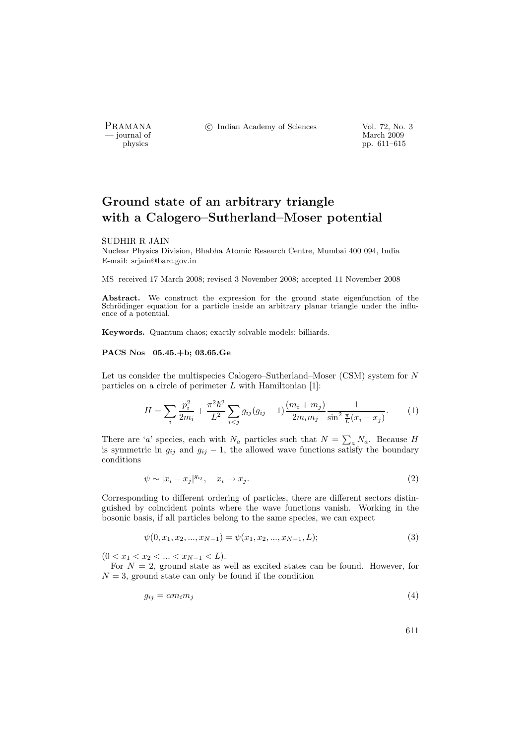- journal of<br>physics

PRAMANA <sup>C</sup> Indian Academy of Sciences Vol. 72, No. 3<br>
— journal of March 2009

pp. 611–615

# Ground state of an arbitrary triangle with a Calogero–Sutherland–Moser potential

#### SUDHIR R JAIN

Nuclear Physics Division, Bhabha Atomic Research Centre, Mumbai 400 094, India E-mail: srjain@barc.gov.in

MS received 17 March 2008; revised 3 November 2008; accepted 11 November 2008

Abstract. We construct the expression for the ground state eigenfunction of the Schrödinger equation for a particle inside an arbitrary planar triangle under the influence of a potential.

Keywords. Quantum chaos; exactly solvable models; billiards.

## PACS Nos 05.45.+b; 03.65.Ge

Let us consider the multispecies Calogero–Sutherland–Moser (CSM) system for N particles on a circle of perimeter  $L$  with Hamiltonian [1]:

$$
H = \sum_{i} \frac{p_i^2}{2m_i} + \frac{\pi^2 \hbar^2}{L^2} \sum_{i < j} g_{ij} (g_{ij} - 1) \frac{(m_i + m_j)}{2m_i m_j} \frac{1}{\sin^2 \frac{\pi}{L} (x_i - x_j)}.\tag{1}
$$

There are 'a' species, each with  $N_a$  particles such that  $N = \sum_a N_a$ . Because H is symmetric in  $g_{ij}$  and  $g_{ij} - 1$ , the allowed wave functions satisfy the boundary conditions

$$
\psi \sim |x_i - x_j|^{g_{ij}}, \quad x_i \to x_j. \tag{2}
$$

Corresponding to different ordering of particles, there are different sectors distinguished by coincident points where the wave functions vanish. Working in the bosonic basis, if all particles belong to the same species, we can expect

$$
\psi(0, x_1, x_2, ..., x_{N-1}) = \psi(x_1, x_2, ..., x_{N-1}, L);
$$
\n(3)

 $(0 < x_1 < x_2 < \ldots < x_{N-1} < L).$ 

For  $N = 2$ , ground state as well as excited states can be found. However, for  $N = 3$ , ground state can only be found if the condition

$$
g_{ij} = \alpha m_i m_j \tag{4}
$$

611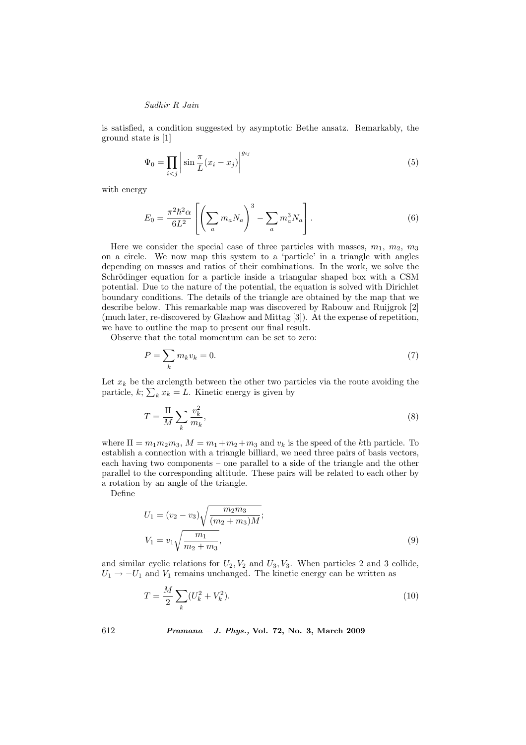## Sudhir R Jain

is satisfied, a condition suggested by asymptotic Bethe ansatz. Remarkably, the ground state is [1]

$$
\Psi_0 = \prod_{i < j} \left| \sin \frac{\pi}{L} (x_i - x_j) \right|^{g_{ij}} \tag{5}
$$

with energy

$$
E_0 = \frac{\pi^2 \hbar^2 \alpha}{6L^2} \left[ \left( \sum_a m_a N_a \right)^3 - \sum_a m_a^3 N_a \right]. \tag{6}
$$

Here we consider the special case of three particles with masses,  $m_1, m_2, m_3$ on a circle. We now map this system to a 'particle' in a triangle with angles depending on masses and ratios of their combinations. In the work, we solve the Schrödinger equation for a particle inside a triangular shaped box with a CSM potential. Due to the nature of the potential, the equation is solved with Dirichlet boundary conditions. The details of the triangle are obtained by the map that we describe below. This remarkable map was discovered by Rabouw and Ruijgrok [2] (much later, re-discovered by Glashow and Mittag [3]). At the expense of repetition, we have to outline the map to present our final result.

Observe that the total momentum can be set to zero:

$$
P = \sum_{k} m_k v_k = 0. \tag{7}
$$

Let  $x_k$  be the arclength between the other two particles via the route avoiding the particle,  $k; \sum_{k} x_k = L$ . Kinetic energy is given by

$$
T = \frac{\Pi}{M} \sum_{k} \frac{v_k^2}{m_k},\tag{8}
$$

where  $\Pi = m_1 m_2 m_3$ ,  $M = m_1 + m_2 + m_3$  and  $v_k$  is the speed of the kth particle. To establish a connection with a triangle billiard, we need three pairs of basis vectors, each having two components – one parallel to a side of the triangle and the other parallel to the corresponding altitude. These pairs will be related to each other by a rotation by an angle of the triangle.

Define

$$
U_1 = (v_2 - v_3)\sqrt{\frac{m_2 m_3}{(m_2 + m_3)M}};
$$
  

$$
V_1 = v_1\sqrt{\frac{m_1}{m_2 + m_3}},
$$
 (9)

and similar cyclic relations for  $U_2, V_2$  and  $U_3, V_3$ . When particles 2 and 3 collide,  $U_1 \rightarrow -U_1$  and  $V_1$  remains unchanged. The kinetic energy can be written as

$$
T = \frac{M}{2} \sum_{k} (U_k^2 + V_k^2). \tag{10}
$$

612 Pramana – J. Phys., Vol. 72, No. 3, March 2009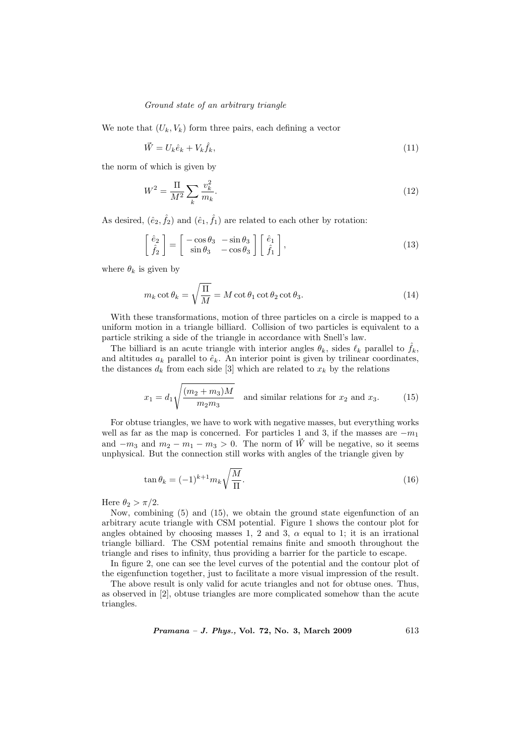## Ground state of an arbitrary triangle

We note that  $(U_k, V_k)$  form three pairs, each defining a vector

$$
\vec{W} = U_k \hat{e}_k + V_k \hat{f}_k,\tag{11}
$$

the norm of which is given by

$$
W^{2} = \frac{\Pi}{M^{2}} \sum_{k} \frac{v_{k}^{2}}{m_{k}}.
$$
\n(12)

As desired,  $(\hat{e}_2, \hat{f}_2)$  and  $(\hat{e}_1, \hat{f}_1)$  are related to each other by rotation:

$$
\begin{bmatrix} \hat{e}_2 \\ \hat{f}_2 \end{bmatrix} = \begin{bmatrix} -\cos\theta_3 & -\sin\theta_3 \\ \sin\theta_3 & -\cos\theta_3 \end{bmatrix} \begin{bmatrix} \hat{e}_1 \\ \hat{f}_1 \end{bmatrix},
$$
\n(13)

where  $\theta_k$  is given by

$$
m_k \cot \theta_k = \sqrt{\frac{\Pi}{M}} = M \cot \theta_1 \cot \theta_2 \cot \theta_3.
$$
 (14)

With these transformations, motion of three particles on a circle is mapped to a uniform motion in a triangle billiard. Collision of two particles is equivalent to a particle striking a side of the triangle in accordance with Snell's law.

The billiard is an acute triangle with interior angles  $\theta_k$ , sides  $\ell_k$  parallel to  $\hat{f}_k$ , and altitudes  $a_k$  parallel to  $\hat{e}_k$ . An interior point is given by trilinear coordinates, the distances  $d_k$  from each side [3] which are related to  $x_k$  by the relations

$$
x_1 = d_1 \sqrt{\frac{(m_2 + m_3)M}{m_2 m_3}}
$$
 and similar relations for  $x_2$  and  $x_3$ . (15)

For obtuse triangles, we have to work with negative masses, but everything works well as far as the map is concerned. For particles 1 and 3, if the masses are  $-m_1$ and  $-m_3$  and  $m_2 - m_1 - m_3 > 0$ . The norm of  $\vec{W}$  will be negative, so it seems unphysical. But the connection still works with angles of the triangle given by

$$
\tan \theta_k = (-1)^{k+1} m_k \sqrt{\frac{M}{\Pi}}.
$$
\n(16)

Here  $\theta_2 > \pi/2$ .

Now, combining (5) and (15), we obtain the ground state eigenfunction of an arbitrary acute triangle with CSM potential. Figure 1 shows the contour plot for angles obtained by choosing masses 1, 2 and 3,  $\alpha$  equal to 1; it is an irrational triangle billiard. The CSM potential remains finite and smooth throughout the triangle and rises to infinity, thus providing a barrier for the particle to escape.

In figure 2, one can see the level curves of the potential and the contour plot of the eigenfunction together, just to facilitate a more visual impression of the result.

The above result is only valid for acute triangles and not for obtuse ones. Thus, as observed in [2], obtuse triangles are more complicated somehow than the acute triangles.

 $Pramana - J. Phys., Vol. 72, No. 3, March 2009$  613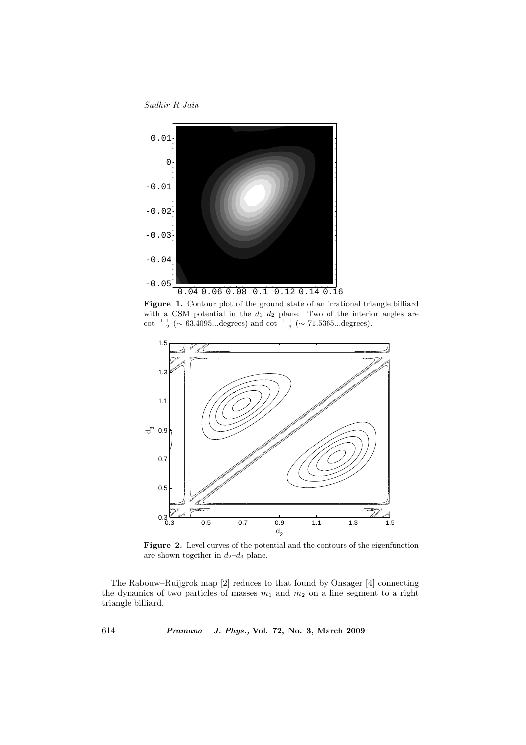Sudhir R Jain



Figure 1. Contour plot of the ground state of an irrational triangle billiard with a CSM potential in the  $d_1-d_2$  plane. Two of the interior angles are cot<sup>-1</sup>  $\frac{1}{2}$  (~ 63.4095...degrees) and cot<sup>-1</sup>  $\frac{1}{3}$  (~ 71.5365...degrees).



Figure 2. Level curves of the potential and the contours of the eigenfunction are shown together in  $d_2-d_3$  plane.

The Rabouw–Ruijgrok map [2] reduces to that found by Onsager [4] connecting the dynamics of two particles of masses  $m_1$  and  $m_2$  on a line segment to a right triangle billiard.

614 Pramana – J. Phys., Vol. 72, No. 3, March 2009